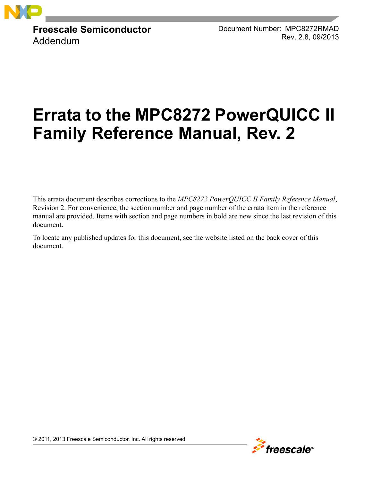

**Freescale Semiconductor** Addendum

Document Number: MPC8272RMAD Rev. 2.8, 09/2013

# **Errata to the MPC8272 PowerQUICC II Family Reference Manual, Rev. 2**

This errata document describes corrections to the *MPC8272 PowerQUICC II Family Reference Manual*, Revision 2. For convenience, the section number and page number of the errata item in the reference manual are provided. Items with section and page numbers in bold are new since the last revision of this document.

To locate any published updates for this document, see the website listed on the back cover of this document.



© 2011, 2013 Freescale Semiconductor, Inc. All rights reserved.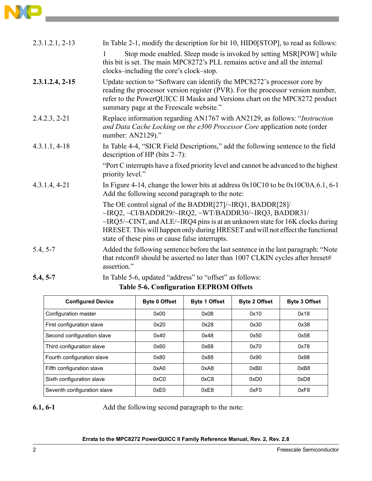| $2.3.1.2.1, 2-13$ | In Table 2-1, modify the description for bit 10, HID0[STOP], to read as follows:<br>Stop mode enabled. Sleep mode is invoked by setting MSR[POW] while<br>this bit is set. The main MPC8272's PLL remains active and all the internal<br>clocks-including the core's clock-stop.                                                                          |
|-------------------|-----------------------------------------------------------------------------------------------------------------------------------------------------------------------------------------------------------------------------------------------------------------------------------------------------------------------------------------------------------|
| $2.3.1.2.4, 2-15$ | Update section to "Software can identify the MPC8272's processor core by<br>reading the processor version register (PVR). For the processor version number,<br>refer to the PowerQUICC II Masks and Versions chart on the MPC8272 product<br>summary page at the Freescale website."                                                                      |
| $2.4.2.3, 2-21$   | Replace information regarding AN1767 with AN2129, as follows: "Instruction<br>and Data Cache Locking on the e300 Processor Core application note (order<br>number: AN2129)."                                                                                                                                                                              |
| $4.3.1.1, 4-18$   | In Table 4-4, "SICR Field Descriptions," add the following sentence to the field<br>description of HP (bits $2-7$ ):                                                                                                                                                                                                                                      |
|                   | "Port C interrupts have a fixed priority level and cannot be advanced to the highest<br>priority level."                                                                                                                                                                                                                                                  |
| $4.3.1.4, 4-21$   | In Figure 4-14, change the lower bits at address $0x10C10$ to be $0x10C0A.6.1$ , 6-1<br>Add the following second paragraph to the note:                                                                                                                                                                                                                   |
|                   | The OE control signal of the BADDR[27]/~IRQ1, BADDR[28]/<br>~IRQ2, ~CI/BADDR29/~IRQ2, ~WT/BADDR30/~IRQ3, BADDR31/<br>$\sim$ IRQ5/ $\sim$ CINT, and ALE/ $\sim$ IRQ4 pins is at an unknown state for 16K clocks during<br>HRESET. This will happen only during HRESET and will not effect the functional<br>state of these pins or cause false interrupts. |
| $5.4, 5-7$        | Added the following sentence before the last sentence in the last paragraph: "Note"<br>that rstconf# should be asserted no later than 1007 CLKIN cycles after hreset#<br>assertion."                                                                                                                                                                      |
| $5.4, 5-7$        | In Table 5-6, updated "address" to "offset" as follows:                                                                                                                                                                                                                                                                                                   |

## **Table 5-6. Configuration EEPROM Offsets**

| <b>Configured Device</b>    | <b>Byte 0 Offset</b> | <b>Byte 1 Offset</b> | <b>Byte 2 Offset</b> | <b>Byte 3 Offset</b> |
|-----------------------------|----------------------|----------------------|----------------------|----------------------|
| Configuration master        | 0x00                 | 0x08                 | 0x10                 | 0x18                 |
| First configuration slave   | 0x20                 | 0x28                 | 0x30                 | 0x38                 |
| Second configuration slave  | 0x40                 | 0x48                 | 0x50                 | 0x58                 |
| Third configuration slave   | 0x60                 | 0x68                 | 0x70                 | 0x78                 |
| Fourth configuration slave  | 0x80                 | 0x88                 | 0x90                 | 0x98                 |
| Fifth configuration slave   | 0xA0                 | 0xA8                 | 0xB0                 | 0xB8                 |
| Sixth configuration slave   | 0xC0                 | 0xC8                 | 0xD0                 | 0xD8                 |
| Seventh configuration slave | 0xE0                 | 0xE8                 | 0xF0                 | 0xF8                 |

**6.1, 6-1** Add the following second paragraph to the note: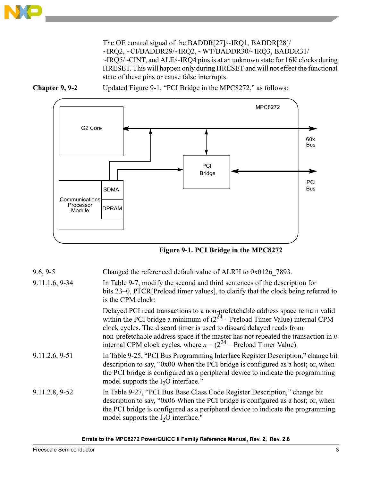The OE control signal of the BADDR[27]/~IRQ1, BADDR[28]/ ~IRQ2, ~CI/BADDR29/~IRQ2, ~WT/BADDR30/~IRQ3, BADDR31/ ~IRQ5/~CINT, and ALE/~IRQ4 pins is at an unknown state for 16K clocks during HRESET. This will happen only during HRESET and will not effect the functional state of these pins or cause false interrupts.





**Figure 9-1. PCI Bridge in the MPC8272**

| $9.6, 9-5$     | Changed the referenced default value of ALRH to 0x0126 7893.                                                                                                                                                                                                                                                                                                                                                  |
|----------------|---------------------------------------------------------------------------------------------------------------------------------------------------------------------------------------------------------------------------------------------------------------------------------------------------------------------------------------------------------------------------------------------------------------|
| 9.11.1.6, 9-34 | In Table 9-7, modify the second and third sentences of the description for<br>bits 23–0, PTCR[Preload timer values], to clarify that the clock being referred to<br>is the CPM clock:                                                                                                                                                                                                                         |
|                | Delayed PCI read transactions to a non-prefetchable address space remain valid<br>within the PCI bridge a minimum of $(2^{24} -$ Preload Timer Value) internal CPM<br>clock cycles. The discard timer is used to discard delayed reads from<br>non-prefetchable address space if the master has not repeated the transaction in $n$<br>internal CPM clock cycles, where $n = (2^{24} -$ Preload Timer Value). |
| 9.11.2.6, 9-51 | In Table 9-25, "PCI Bus Programming Interface Register Description," change bit<br>description to say, "0x00 When the PCI bridge is configured as a host; or, when<br>the PCI bridge is configured as a peripheral device to indicate the programming<br>model supports the $I_2O$ interface."                                                                                                                |
| 9.11.2.8, 9-52 | In Table 9-27, "PCI Bus Base Class Code Register Description," change bit<br>description to say, "0x06 When the PCI bridge is configured as a host; or, when<br>the PCI bridge is configured as a peripheral device to indicate the programming<br>model supports the $I_2O$ interface."                                                                                                                      |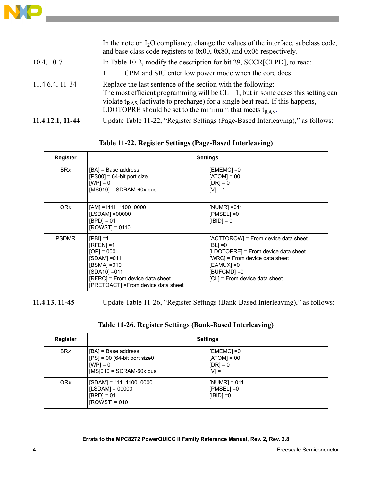

|                  | In the note on $I_2O$ compliancy, change the values of the interface, subclass code,<br>and base class code registers to $0x00$ , $0x80$ , and $0x06$ respectively.                                                                                                                                        |
|------------------|------------------------------------------------------------------------------------------------------------------------------------------------------------------------------------------------------------------------------------------------------------------------------------------------------------|
| $10.4, 10-7$     | In Table 10-2, modify the description for bit 29, SCCR[CLPD], to read:                                                                                                                                                                                                                                     |
|                  | CPM and SIU enter low power mode when the core does.                                                                                                                                                                                                                                                       |
| 11.4.6.4, 11-34  | Replace the last sentence of the section with the following:<br>The most efficient programming will be $CL - 1$ , but in some cases this setting can<br>violate $t_{RAS}$ (activate to precharge) for a single beat read. If this happens,<br>LDOTOPRE should be set to the minimum that meets $t_{RAS}$ . |
| 11.4.12.1, 11-44 | Update Table 11-22, "Register Settings (Page-Based Interleaving)," as follows:                                                                                                                                                                                                                             |

**Table 11-22. Register Settings (Page-Based Interleaving)** 

| Register     |                                                                                                                                                                           | <b>Settings</b>                                                                                                                                                                          |  |  |  |  |  |  |
|--------------|---------------------------------------------------------------------------------------------------------------------------------------------------------------------------|------------------------------------------------------------------------------------------------------------------------------------------------------------------------------------------|--|--|--|--|--|--|
| <b>BRx</b>   | [BA] = Base address<br>$[PS00] = 64$ -bit port size<br>$[WP] = 0$<br>$[MS010] = SDRAM-60x$ bus                                                                            | [EMEMC] =0<br>$[ATOM] = 00$<br>$[DR] = 0$<br>$[V] = 1$                                                                                                                                   |  |  |  |  |  |  |
| <b>ORx</b>   | $[AM] = 1111$ 1100 0000<br>[LSDAM] =00000<br>$[BPD] = 01$<br>$[ROWST] = 0110$                                                                                             | [NUMR] = 011<br>$[PMSEL] = 0$<br>$[IBID] = 0$                                                                                                                                            |  |  |  |  |  |  |
| <b>PSDMR</b> | $[PBI] = 1$<br>$[RFEN] = 1$<br>$[OP] = 000$<br>[SDAM] =011<br>$[BSMA] = 010$<br>$[SDA10] = 011$<br>[RFRC] = From device data sheet<br>[PRETOACT] = From device data sheet | [ACTTOROW] = From device data sheet<br>[BL] =0<br>[LDOTOPRE] = From device data sheet<br>[WRC] = From device data sheet<br>[EAMUX] =0<br>$[BUFCMD] = 0$<br>[CL] = From device data sheet |  |  |  |  |  |  |

**11.4.13, 11-45** Update Table 11-26, "Register Settings (Bank-Based Interleaving)," as follows:

| Register   | <b>Settings</b>                                                                                  |                                                        |  |  |  |  |  |
|------------|--------------------------------------------------------------------------------------------------|--------------------------------------------------------|--|--|--|--|--|
| <b>BRx</b> | [BA] = Base address<br>$[PS] = 00$ (64-bit port size0<br>$[WP] = 0$<br>$[MS]010 = SDRAM-60x$ bus | [EMEMC] =0<br>$[ATOM] = 00$<br>$[DR] = 0$<br>$[V] = 1$ |  |  |  |  |  |
| <b>ORx</b> | $[SDAM] = 111 1100 0000$<br>$[LSDAM] = 00000$<br>$[BPD] = 01$<br>$[ROWST] = 010$                 | $[NUMR] = 011$<br>$[PMSEL] = 0$<br>$[IBID] = 0$        |  |  |  |  |  |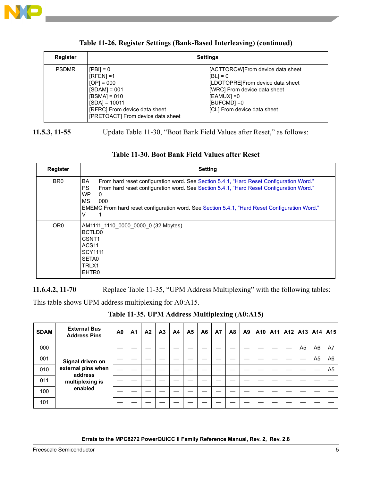

| <b>Register</b> | <b>Settings</b>                                                                                                                                                          |                                                                                                                                                                                    |  |  |  |  |  |  |  |  |
|-----------------|--------------------------------------------------------------------------------------------------------------------------------------------------------------------------|------------------------------------------------------------------------------------------------------------------------------------------------------------------------------------|--|--|--|--|--|--|--|--|
| <b>PSDMR</b>    | $[PBI] = 0$<br>$[RFEN] = 1$<br>$[OP] = 000$<br>$[SDAM] = 001$<br>$[BSMA] = 010$<br>$[SDA] = 10011$<br>[RFRC] From device data sheet<br>[PRETOACT] From device data sheet | [ACTTOROW]From device data sheet<br>$[BL] = 0$<br>[LDOTOPRE]From device data sheet<br>[WRC] From device data sheet<br>$[EAMUX] = 0$<br>[BUFCMD] = 0<br>[CL] From device data sheet |  |  |  |  |  |  |  |  |

#### **Table 11-26. Register Settings (Bank-Based Interleaving) (continued)**

**11.5.3, 11-55** Update Table 11-30, "Boot Bank Field Values after Reset," as follows:

| <b>Register</b> | <b>Setting</b>                                                                                                                                                                                                                                                                                                                                           |
|-----------------|----------------------------------------------------------------------------------------------------------------------------------------------------------------------------------------------------------------------------------------------------------------------------------------------------------------------------------------------------------|
| BR <sub>0</sub> | BA<br>From hard reset configuration word. See Section 5.4.1, "Hard Reset Configuration Word."<br><b>PS</b><br>From hard reset configuration word. See Section 5.4.1, "Hard Reset Configuration Word."<br><b>WP</b><br>$\Omega$<br><b>MS</b><br>000<br>EMEMC From hard reset configuration word. See Section 5.4.1, "Hard Reset Configuration Word."<br>V |
| OR <sub>0</sub> | AM1111 1110 0000 0000 0 (32 Mbytes)<br><b>BCTLD0</b><br>CSNT <sub>1</sub><br>ACS <sub>11</sub><br><b>SCY1111</b><br>SETA0<br>TRLX1<br>EHTR0                                                                                                                                                                                                              |

#### **Table 11-30. Boot Bank Field Values after Reset**

**11.6.4.2, 11-70** Replace Table 11-35, "UPM Address Multiplexing" with the following tables:

This table shows UPM address multiplexing for A0:A15.

**Table 11-35. UPM Address Multiplexing (A0:A15)**

| <b>SDAM</b> | <b>External Bus</b><br><b>Address Pins</b> | A0 | A <sub>1</sub> | A <sup>2</sup> | A3 | A4 | A <sub>5</sub> | A <sub>6</sub> | <b>A7</b> | A <sub>8</sub> | A9 |  | A10   A11   A12   A13   A14   A15 |                |                |                |
|-------------|--------------------------------------------|----|----------------|----------------|----|----|----------------|----------------|-----------|----------------|----|--|-----------------------------------|----------------|----------------|----------------|
| 000         |                                            |    |                |                |    |    |                |                |           |                |    |  |                                   | A <sub>5</sub> | A <sub>6</sub> | A7             |
| 001         | Signal driven on                           |    |                |                |    |    |                |                |           |                |    |  |                                   |                | A <sub>5</sub> | A <sub>6</sub> |
| 010         | external pins when<br>address              |    |                |                |    |    |                |                |           |                |    |  |                                   |                |                | A <sub>5</sub> |
| 011         | multiplexing is                            |    |                |                |    |    |                |                |           |                |    |  |                                   |                |                |                |
| 100         | enabled                                    |    |                |                |    |    |                |                |           |                |    |  |                                   |                |                |                |
| 101         |                                            |    |                |                |    |    |                |                |           |                |    |  |                                   |                |                |                |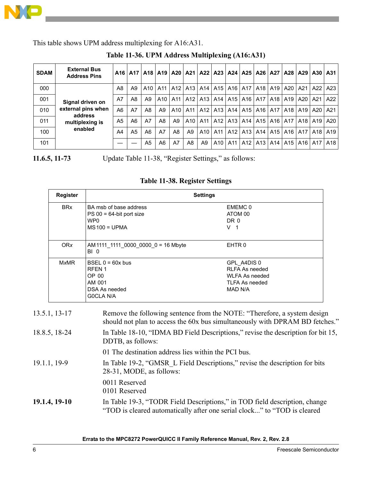

This table shows UPM address multiplexing for A16:A31.

| <b>SDAM</b> | <b>External Bus</b><br><b>Address Pins</b> |    |                |     |                | A16   A17   A18   A19   A20   A21   A22   A23   A24   A25   A26   A27   A28   A29   A30   A31 |                |                                 |                       |           |                 |                                 |                                                     |                                                     |  |
|-------------|--------------------------------------------|----|----------------|-----|----------------|-----------------------------------------------------------------------------------------------|----------------|---------------------------------|-----------------------|-----------|-----------------|---------------------------------|-----------------------------------------------------|-----------------------------------------------------|--|
| 000         |                                            | A8 | A9             | A10 |                | A11   A12   A13   A14   A15   A16   A17                                                       |                |                                 |                       |           |                 | A <sub>18</sub> A <sub>19</sub> | A20                                                 | A21   A22   A23                                     |  |
| 001         | Signal driven on                           | A7 | A8             | A9  |                | A10   A11   A12   A13   A14   A15   A16                                                       |                |                                 |                       |           |                 |                                 | A17   A18   A19                                     | A20   A21   A22                                     |  |
| 010         | external pins when<br>address              | A6 | A7             | A8  | A9             | A10                                                                                           |                | A11   A12   A13   A14   A15     |                       |           |                 | A <sub>16</sub> A <sub>17</sub> | A18                                                 | A <sub>19</sub>   A <sub>20</sub>   A <sub>21</sub> |  |
| 011         | multiplexing is                            | A5 | A6             | A7  | A8             | A <sub>9</sub>                                                                                |                | A <sub>10</sub> A <sub>11</sub> |                       |           | A12   A13   A14 |                                 | A <sub>15</sub>   A <sub>16</sub>   A <sub>17</sub> | A18   A19   A20                                     |  |
| 100         | enabled                                    | A4 | A <sub>5</sub> | A6  | A7             | A <sub>8</sub>                                                                                | A <sub>9</sub> |                                 | A10   A11   A12   A13 |           |                 |                                 | A14   A15   A16   A17   A18   A19                   |                                                     |  |
| 101         |                                            |    |                | A5  | A <sub>6</sub> | A7                                                                                            | A8             | A9                              |                       | A10   A11 | A12             | $A13$ $A14$                     | A15                                                 | A16   A17   A18                                     |  |

**Table 11-36. UPM Address Multiplexing (A16:A31)**

**11.6.5, 11-73** Update Table 11-38, "Register Settings," as follows:

|              | <b>Register</b>       | <b>Settings</b>                                                                                                                                                |                                                                                                                                                          |  |  |  |  |  |  |  |
|--------------|-----------------------|----------------------------------------------------------------------------------------------------------------------------------------------------------------|----------------------------------------------------------------------------------------------------------------------------------------------------------|--|--|--|--|--|--|--|
|              | <b>BR<sub>x</sub></b> | BA msb of base address<br>$PS 00 = 64$ -bit port size<br>WP <sub>0</sub><br>$MS100 = UPMA$                                                                     | EMEMC <sub>0</sub><br>ATOM 00<br>DR 0<br>V <sub>1</sub>                                                                                                  |  |  |  |  |  |  |  |
|              | <b>ORx</b>            | AM 1111 1111 0000 0000 0 = 16 Mbyte<br>BI <sub>0</sub>                                                                                                         | EHTR <sub>0</sub>                                                                                                                                        |  |  |  |  |  |  |  |
|              | <b>MxMR</b>           | BSEL $0 = 60x$ bus<br>RFEN <sub>1</sub><br>OP 00<br>AM 001<br>DSA As needed<br><b>GOCLA N/A</b>                                                                | GPL A4DIS 0<br><b>RLFA As needed</b><br><b>WLFA As needed</b><br><b>TLFA As needed</b><br><b>MAD N/A</b>                                                 |  |  |  |  |  |  |  |
|              | 13.5.1, 13-17         |                                                                                                                                                                | Remove the following sentence from the NOTE: "Therefore, a system design<br>should not plan to access the 60x bus simultaneously with DPRAM BD fetches." |  |  |  |  |  |  |  |
|              | 18.8.5, 18-24         | DDTB, as follows:                                                                                                                                              | In Table 18-10, "IDMA BD Field Descriptions," revise the description for bit 15,                                                                         |  |  |  |  |  |  |  |
| 19.1.1, 19-9 |                       | 01 The destination address lies within the PCI bus.<br>In Table 19-2, "GMSR L Field Descriptions," revise the description for bits<br>28-31, MODE, as follows: |                                                                                                                                                          |  |  |  |  |  |  |  |
|              | 19.1.4, 19-10         | 0011 Reserved<br>0101 Reserved                                                                                                                                 | In Table 19-3, "TODR Field Descriptions," in TOD field description, change<br>"TOD is cleared automatically after one serial clock" to "TOD is cleared   |  |  |  |  |  |  |  |

### **Table 11-38. Register Settings**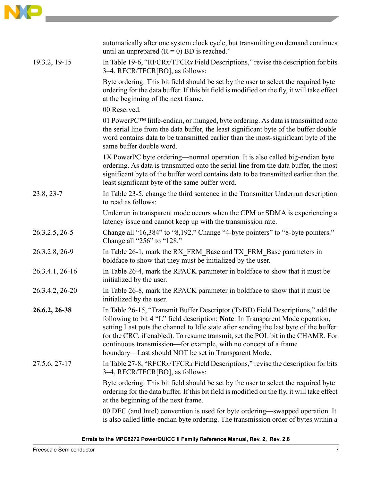

|                 | automatically after one system clock cycle, but transmitting on demand continues<br>until an unprepared $(R = 0)$ BD is reached."                                                                                                                                                                                                                                                                                                                                        |
|-----------------|--------------------------------------------------------------------------------------------------------------------------------------------------------------------------------------------------------------------------------------------------------------------------------------------------------------------------------------------------------------------------------------------------------------------------------------------------------------------------|
| 19.3.2, 19-15   | In Table 19-6, "RFCRx/TFCRx Field Descriptions," revise the description for bits<br>3-4, RFCR/TFCR[BO], as follows:                                                                                                                                                                                                                                                                                                                                                      |
|                 | Byte ordering. This bit field should be set by the user to select the required byte<br>ordering for the data buffer. If this bit field is modified on the fly, it will take effect<br>at the beginning of the next frame.                                                                                                                                                                                                                                                |
|                 | 00 Reserved.                                                                                                                                                                                                                                                                                                                                                                                                                                                             |
|                 | 01 PowerPCTM little-endian, or munged, byte ordering. As data is transmitted onto<br>the serial line from the data buffer, the least significant byte of the buffer double<br>word contains data to be transmitted earlier than the most-significant byte of the<br>same buffer double word.                                                                                                                                                                             |
|                 | 1X PowerPC byte ordering—normal operation. It is also called big-endian byte<br>ordering. As data is transmitted onto the serial line from the data buffer, the most<br>significant byte of the buffer word contains data to be transmitted earlier than the<br>least significant byte of the same buffer word.                                                                                                                                                          |
| 23.8, 23-7      | In Table 23-5, change the third sentence in the Transmitter Underrun description<br>to read as follows:                                                                                                                                                                                                                                                                                                                                                                  |
|                 | Underrun in transparent mode occurs when the CPM or SDMA is experiencing a<br>latency issue and cannot keep up with the transmission rate.                                                                                                                                                                                                                                                                                                                               |
| 26.3.2.5, 26-5  | Change all "16,384" to "8,192." Change "4-byte pointers" to "8-byte pointers."<br>Change all "256" to "128."                                                                                                                                                                                                                                                                                                                                                             |
| 26.3.2.8, 26-9  | In Table 26-1, mark the RX FRM Base and TX FRM Base parameters in<br>boldface to show that they must be initialized by the user.                                                                                                                                                                                                                                                                                                                                         |
| 26.3.4.1, 26-16 | In Table 26-4, mark the RPACK parameter in boldface to show that it must be<br>initialized by the user.                                                                                                                                                                                                                                                                                                                                                                  |
| 26.3.4.2, 26-20 | In Table 26-8, mark the RPACK parameter in boldface to show that it must be<br>initialized by the user.                                                                                                                                                                                                                                                                                                                                                                  |
| 26.6.2, 26-38   | In Table 26-15, "Transmit Buffer Descriptor (TxBD) Field Descriptions," add the<br>following to bit 4 "L" field description: Note: In Transparent Mode operation,<br>setting Last puts the channel to Idle state after sending the last byte of the buffer<br>(or the CRC, if enabled). To resume transmit, set the POL bit in the CHAMR. For<br>continuous transmission—for example, with no concept of a frame<br>boundary—Last should NOT be set in Transparent Mode. |
| 27.5.6, 27-17   | In Table 27-8, "RFCRx/TFCRx Field Descriptions," revise the description for bits<br>3–4, RFCR/TFCR[BO], as follows:                                                                                                                                                                                                                                                                                                                                                      |
|                 | Byte ordering. This bit field should be set by the user to select the required byte<br>ordering for the data buffer. If this bit field is modified on the fly, it will take effect<br>at the beginning of the next frame.                                                                                                                                                                                                                                                |
|                 | 00 DEC (and Intel) convention is used for byte ordering—swapped operation. It<br>is also called little-endian byte ordering. The transmission order of bytes within a                                                                                                                                                                                                                                                                                                    |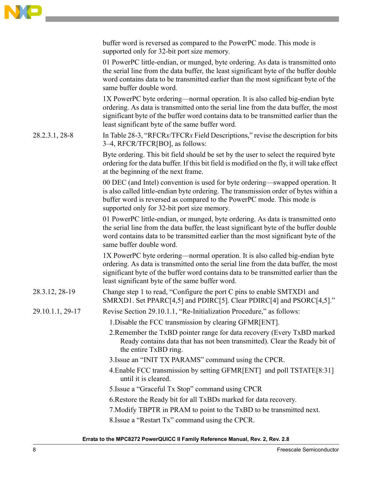|                  | buffer word is reversed as compared to the PowerPC mode. This mode is<br>supported only for 32-bit port size memory.                                                                                                                                                                                            |
|------------------|-----------------------------------------------------------------------------------------------------------------------------------------------------------------------------------------------------------------------------------------------------------------------------------------------------------------|
|                  | 01 PowerPC little-endian, or munged, byte ordering. As data is transmitted onto<br>the serial line from the data buffer, the least significant byte of the buffer double<br>word contains data to be transmitted earlier than the most significant byte of the<br>same buffer double word.                      |
|                  | 1X PowerPC byte ordering—normal operation. It is also called big-endian byte<br>ordering. As data is transmitted onto the serial line from the data buffer, the most<br>significant byte of the buffer word contains data to be transmitted earlier than the<br>least significant byte of the same buffer word. |
| 28.2.3.1, 28-8   | In Table 28-3, "RFCRx/TFCRx Field Descriptions," revise the description for bits<br>3-4, RFCR/TFCR[BO], as follows:                                                                                                                                                                                             |
|                  | Byte ordering. This bit field should be set by the user to select the required byte<br>ordering for the data buffer. If this bit field is modified on the fly, it will take effect<br>at the beginning of the next frame.                                                                                       |
|                  | 00 DEC (and Intel) convention is used for byte ordering—swapped operation. It<br>is also called little-endian byte ordering. The transmission order of bytes within a<br>buffer word is reversed as compared to the PowerPC mode. This mode is<br>supported only for 32-bit port size memory.                   |
|                  | 01 PowerPC little-endian, or munged, byte ordering. As data is transmitted onto<br>the serial line from the data buffer, the least significant byte of the buffer double<br>word contains data to be transmitted earlier than the most significant byte of the<br>same buffer double word.                      |
|                  | 1X PowerPC byte ordering—normal operation. It is also called big-endian byte<br>ordering. As data is transmitted onto the serial line from the data buffer, the most<br>significant byte of the buffer word contains data to be transmitted earlier than the<br>least significant byte of the same buffer word. |
| 28.3.12, 28-19   | Change step 1 to read, "Configure the port C pins to enable SMTXD1 and<br>SMRXD1. Set PPARC[4,5] and PDIRC[5]. Clear PDIRC[4] and PSORC[4,5]."                                                                                                                                                                  |
| 29.10.1.1, 29-17 | Revise Section 29.10.1.1, "Re-Initialization Procedure," as follows:                                                                                                                                                                                                                                            |
|                  | 1. Disable the FCC transmission by clearing GFMR[ENT].                                                                                                                                                                                                                                                          |
|                  | 2. Remember the TxBD pointer range for data recovery (Every TxBD marked<br>Ready contains data that has not been transmitted). Clear the Ready bit of<br>the entire TxBD ring.                                                                                                                                  |
|                  | 3. Issue an "INIT TX PARAMS" command using the CPCR.                                                                                                                                                                                                                                                            |
|                  | 4. Enable FCC transmission by setting GFMR[ENT] and poll TSTATE[8:31]<br>until it is cleared.                                                                                                                                                                                                                   |
|                  | 5. Issue a "Graceful Tx Stop" command using CPCR                                                                                                                                                                                                                                                                |
|                  | 6. Restore the Ready bit for all TxBDs marked for data recovery.                                                                                                                                                                                                                                                |
|                  | 7. Modify TBPTR in PRAM to point to the TxBD to be transmitted next.                                                                                                                                                                                                                                            |
|                  | 8. Issue a "Restart Tx" command using the CPCR.                                                                                                                                                                                                                                                                 |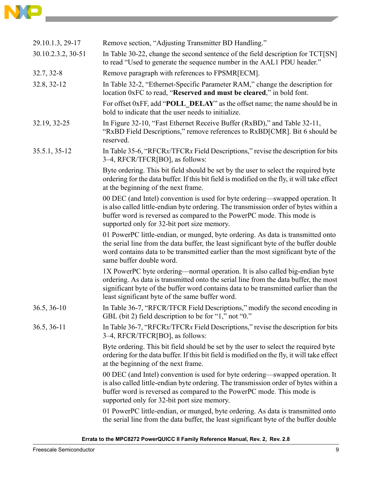

| 29.10.1.3, 29-17   | Remove section, "Adjusting Transmitter BD Handling."                                                                                                                                                                                                                                                            |
|--------------------|-----------------------------------------------------------------------------------------------------------------------------------------------------------------------------------------------------------------------------------------------------------------------------------------------------------------|
| 30.10.2.3.2, 30-51 | In Table 30-22, change the second sentence of the field description for TCT[SN]<br>to read "Used to generate the sequence number in the AAL1 PDU header."                                                                                                                                                       |
| 32.7, 32-8         | Remove paragraph with references to FPSMR[ECM].                                                                                                                                                                                                                                                                 |
| 32.8, 32-12        | In Table 32-2, "Ethernet-Specific Parameter RAM," change the description for<br>location 0xFC to read, "Reserved and must be cleared," in bold font.                                                                                                                                                            |
|                    | For offset 0xFF, add " <b>POLL DELAY</b> " as the offset name; the name should be in<br>bold to indicate that the user needs to initialize.                                                                                                                                                                     |
| 32.19, 32-25       | In Figure 32-10, "Fast Ethernet Receive Buffer (RxBD)," and Table 32-11,<br>"RxBD Field Descriptions," remove references to RxBD[CMR]. Bit 6 should be<br>reserved.                                                                                                                                             |
| 35.5.1, 35-12      | In Table 35-6, "RFCRx/TFCRx Field Descriptions," revise the description for bits<br>3–4, RFCR/TFCR[BO], as follows:                                                                                                                                                                                             |
|                    | Byte ordering. This bit field should be set by the user to select the required byte<br>ordering for the data buffer. If this bit field is modified on the fly, it will take effect<br>at the beginning of the next frame.                                                                                       |
|                    | 00 DEC (and Intel) convention is used for byte ordering—swapped operation. It<br>is also called little-endian byte ordering. The transmission order of bytes within a<br>buffer word is reversed as compared to the PowerPC mode. This mode is<br>supported only for 32-bit port size memory.                   |
|                    | 01 PowerPC little-endian, or munged, byte ordering. As data is transmitted onto<br>the serial line from the data buffer, the least significant byte of the buffer double<br>word contains data to be transmitted earlier than the most significant byte of the<br>same buffer double word.                      |
|                    | 1X PowerPC byte ordering—normal operation. It is also called big-endian byte<br>ordering. As data is transmitted onto the serial line from the data buffer, the most<br>significant byte of the buffer word contains data to be transmitted earlier than the<br>least significant byte of the same buffer word. |
| $36.5, 36-10$      | In Table 36-7, "RFCR/TFCR Field Descriptions," modify the second encoding in<br>GBL (bit 2) field description to be for "1," not "0."                                                                                                                                                                           |
| 36.5, 36-11        | In Table 36-7, "RFCRx/TFCRx Field Descriptions," revise the description for bits<br>3–4, RFCR/TFCR[BO], as follows:                                                                                                                                                                                             |
|                    | Byte ordering. This bit field should be set by the user to select the required byte<br>ordering for the data buffer. If this bit field is modified on the fly, it will take effect<br>at the beginning of the next frame.                                                                                       |
|                    | 00 DEC (and Intel) convention is used for byte ordering—swapped operation. It<br>is also called little-endian byte ordering. The transmission order of bytes within a<br>buffer word is reversed as compared to the PowerPC mode. This mode is<br>supported only for 32-bit port size memory.                   |
|                    | 01 PowerPC little-endian, or munged, byte ordering. As data is transmitted onto<br>the serial line from the data buffer, the least significant byte of the buffer double                                                                                                                                        |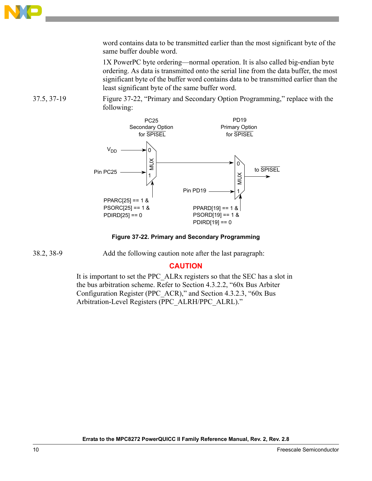

word contains data to be transmitted earlier than the most significant byte of the same buffer double word.

1X PowerPC byte ordering—normal operation. It is also called big-endian byte ordering. As data is transmitted onto the serial line from the data buffer, the most significant byte of the buffer word contains data to be transmitted earlier than the least significant byte of the same buffer word.

37.5, 37-19 Figure 37-22, "Primary and Secondary Option Programming," replace with the following:



**Figure 37-22. Primary and Secondary Programming**

38.2, 38-9 Add the following caution note after the last paragraph:

### **CAUTION**

It is important to set the PPC\_ALRx registers so that the SEC has a slot in the bus arbitration scheme. Refer to Section 4.3.2.2, "60x Bus Arbiter Configuration Register (PPC\_ACR)," and Section 4.3.2.3, "60x Bus